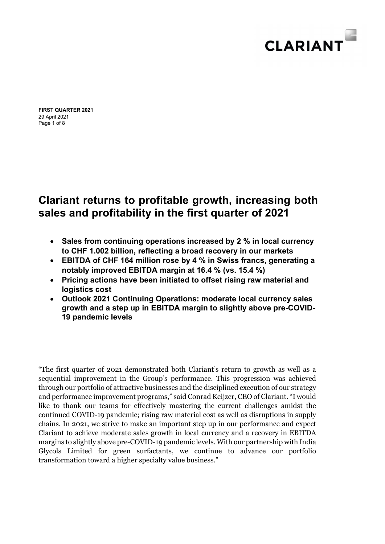

Page 1 of 8 **FIRST QUARTER 2021**  29 April 2021

# **Clariant returns to profitable growth, increasing both sales and profitability in the first quarter of 2021**

- **Sales from continuing operations increased by 2 % in local currency to CHF 1.002 billion, reflecting a broad recovery in our markets**
- **EBITDA of CHF 164 million rose by 4 % in Swiss francs, generating a notably improved EBITDA margin at 16.4 % (vs. 15.4 %)**
- **Pricing actions have been initiated to offset rising raw material and logistics cost**
- **Outlook 2021 Continuing Operations: moderate local currency sales growth and a step up in EBITDA margin to slightly above pre-COVID-19 pandemic levels**

"The first quarter of 2021 demonstrated both Clariant's return to growth as well as a sequential improvement in the Group's performance. This progression was achieved through our portfolio of attractive businesses and the disciplined execution of our strategy and performance improvement programs," said Conrad Keijzer, CEO of Clariant. "I would like to thank our teams for effectively mastering the current challenges amidst the continued COVID-19 pandemic; rising raw material cost as well as disruptions in supply chains. In 2021, we strive to make an important step up in our performance and expect Clariant to achieve moderate sales growth in local currency and a recovery in EBITDA margins to slightly above pre-COVID-19 pandemic levels. With our partnership with India Glycols Limited for green surfactants, we continue to advance our portfolio transformation toward a higher specialty value business."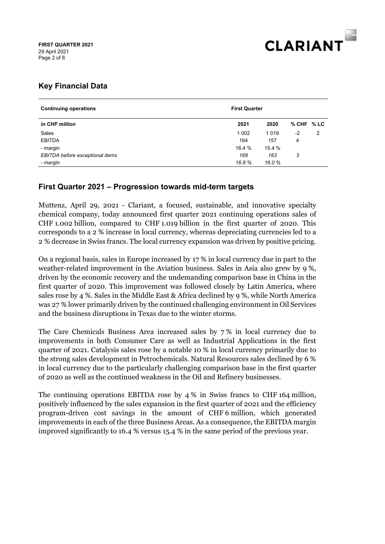

## **Key Financial Data**

| <b>Continuing operations</b>    | <b>First Quarter</b> |        |                |   |  |
|---------------------------------|----------------------|--------|----------------|---|--|
| in CHF million                  | 2021                 | 2020   | $%$ CHF $%$ LC |   |  |
| Sales                           | 1 0 0 2              | 1019   | -2             | 2 |  |
| <b>EBITDA</b>                   | 164                  | 157    | 4              |   |  |
| - margin                        | 16.4 %               | 15.4 % |                |   |  |
| EBITDA before exceptional items | 168                  | 163    | 3              |   |  |
| - margin                        | 16.8%                | 16.0%  |                |   |  |

## **First Quarter 2021 – Progression towards mid-term targets**

Muttenz, April 29, 2021 - Clariant, a focused, sustainable, and innovative specialty chemical company, today announced first quarter 2021 continuing operations sales of CHF 1.002 billion, compared to CHF 1.019 billion in the first quarter of 2020. This corresponds to a 2 % increase in local currency, whereas depreciating currencies led to a 2 % decrease in Swiss francs. The local currency expansion was driven by positive pricing.

On a regional basis, sales in Europe increased by 17 % in local currency due in part to the weather-related improvement in the Aviation business. Sales in Asia also grew by 9 %, driven by the economic recovery and the undemanding comparison base in China in the first quarter of 2020. This improvement was followed closely by Latin America, where sales rose by 4 %. Sales in the Middle East & Africa declined by 9 %, while North America was 27 % lower primarily driven by the continued challenging environment in Oil Services and the business disruptions in Texas due to the winter storms.

The Care Chemicals Business Area increased sales by 7 % in local currency due to improvements in both Consumer Care as well as Industrial Applications in the first quarter of 2021. Catalysis sales rose by a notable 10 % in local currency primarily due to the strong sales development in Petrochemicals. Natural Resources sales declined by 6 % in local currency due to the particularly challenging comparison base in the first quarter of 2020 as well as the continued weakness in the Oil and Refinery businesses.

The continuing operations EBITDA rose by 4 % in Swiss francs to CHF 164 million, positively influenced by the sales expansion in the first quarter of 2021 and the efficiency program-driven cost savings in the amount of CHF 6 million, which generated improvements in each of the three Business Areas. As a consequence, the EBITDA margin improved significantly to 16.4 % versus 15.4 % in the same period of the previous year.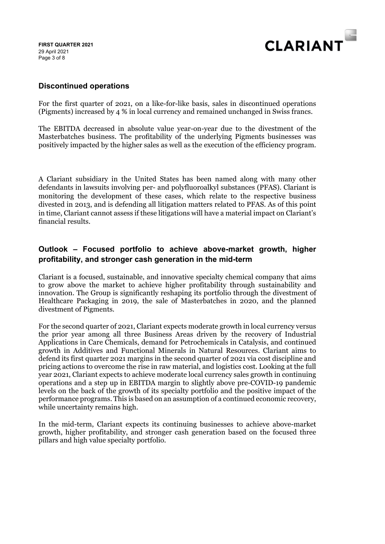Page 3 of 8 **FIRST QUARTER 2021**  29 April 2021



#### **Discontinued operations**

For the first quarter of 2021, on a like-for-like basis, sales in discontinued operations (Pigments) increased by 4 % in local currency and remained unchanged in Swiss francs.

The EBITDA decreased in absolute value year-on-year due to the divestment of the Masterbatches business. The profitability of the underlying Pigments businesses was positively impacted by the higher sales as well as the execution of the efficiency program.

A Clariant subsidiary in the United States has been named along with many other defendants in lawsuits involving per- and polyfluoroalkyl substances (PFAS). Clariant is monitoring the development of these cases, which relate to the respective business divested in 2013, and is defending all litigation matters related to PFAS. As of this point in time, Clariant cannot assess if these litigations will have a material impact on Clariant's financial results.

## **Outlook – Focused portfolio to achieve above-market growth, higher profitability, and stronger cash generation in the mid-term**

Clariant is a focused, sustainable, and innovative specialty chemical company that aims to grow above the market to achieve higher profitability through sustainability and innovation. The Group is significantly reshaping its portfolio through the divestment of Healthcare Packaging in 2019, the sale of Masterbatches in 2020, and the planned divestment of Pigments.

For the second quarter of 2021, Clariant expects moderate growth in local currency versus the prior year among all three Business Areas driven by the recovery of Industrial Applications in Care Chemicals, demand for Petrochemicals in Catalysis, and continued growth in Additives and Functional Minerals in Natural Resources. Clariant aims to defend its first quarter 2021 margins in the second quarter of 2021 via cost discipline and pricing actions to overcome the rise in raw material, and logistics cost. Looking at the full year 2021, Clariant expects to achieve moderate local currency sales growth in continuing operations and a step up in EBITDA margin to slightly above pre-COVID-19 pandemic levels on the back of the growth of its specialty portfolio and the positive impact of the performance programs. This is based on an assumption of a continued economic recovery, while uncertainty remains high.

In the mid-term, Clariant expects its continuing businesses to achieve above-market growth, higher profitability, and stronger cash generation based on the focused three pillars and high value specialty portfolio.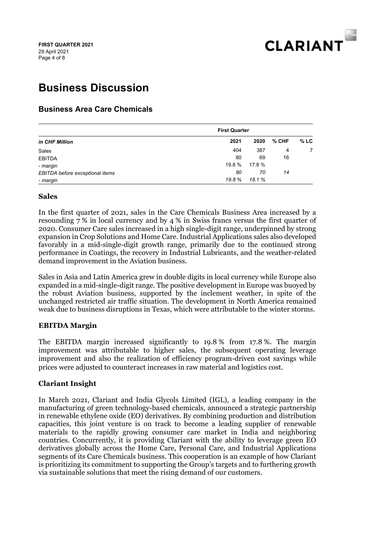

# **Business Discussion**

## **Business Area Care Chemicals**

|                                 | <b>First Quarter</b> |        |       |        |
|---------------------------------|----------------------|--------|-------|--------|
| in CHF Million                  | 2021                 | 2020   | % CHF | $%$ LC |
| Sales                           | 404                  | 387    | 4     | 7      |
| <b>EBITDA</b>                   | 80                   | 69     | 16    |        |
| - margin                        | 19.8 %               | 17.8%  |       |        |
| EBITDA before exceptional items | 80                   | 70     | 14    |        |
| - margin                        | 19.8 %               | 18.1 % |       |        |

#### **Sales**

In the first quarter of 2021, sales in the Care Chemicals Business Area increased by a resounding 7 % in local currency and by 4 % in Swiss francs versus the first quarter of 2020. Consumer Care sales increased in a high single-digit range, underpinned by strong expansion in Crop Solutions and Home Care. Industrial Applications sales also developed favorably in a mid-single-digit growth range, primarily due to the continued strong performance in Coatings, the recovery in Industrial Lubricants, and the weather-related demand improvement in the Aviation business.

Sales in Asia and Latin America grew in double digits in local currency while Europe also expanded in a mid-single-digit range. The positive development in Europe was buoyed by the robust Aviation business, supported by the inclement weather, in spite of the unchanged restricted air traffic situation. The development in North America remained weak due to business disruptions in Texas, which were attributable to the winter storms.

## **EBITDA Margin**

The EBITDA margin increased significantly to 19.8 % from 17.8 %. The margin improvement was attributable to higher sales, the subsequent operating leverage improvement and also the realization of efficiency program-driven cost savings while prices were adjusted to counteract increases in raw material and logistics cost.

## **Clariant Insight**

In March 2021, Clariant and India Glycols Limited (IGL), a leading company in the manufacturing of green technology-based chemicals, announced a strategic partnership in renewable ethylene oxide (EO) derivatives. By combining production and distribution capacities, this joint venture is on track to become a leading supplier of renewable materials to the rapidly growing consumer care market in India and neighboring countries. Concurrently, it is providing Clariant with the ability to leverage green EO derivatives globally across the Home Care, Personal Care, and Industrial Applications segments of its Care Chemicals business. This cooperation is an example of how Clariant is prioritizing its commitment to supporting the Group's targets and to furthering growth via sustainable solutions that meet the rising demand of our customers.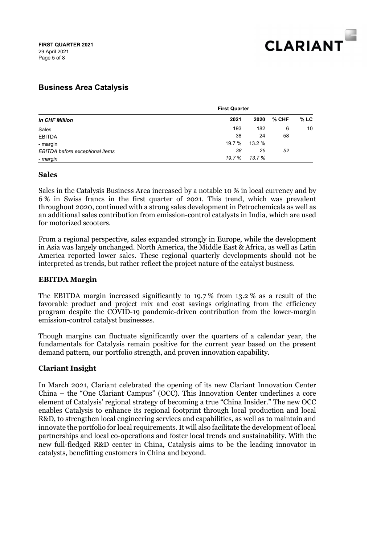

## **Business Area Catalysis**

| in CHF Million                  | <b>First Quarter</b> |        |       |        |
|---------------------------------|----------------------|--------|-------|--------|
|                                 | 2021                 | 2020   | % CHF | $%$ LC |
| Sales                           | 193                  | 182    | 6     | 10     |
| <b>EBITDA</b>                   | 38                   | 24     | 58    |        |
| - margin                        | 19.7 %               | 13.2 % |       |        |
| EBITDA before exceptional items | 38                   | 25     | 52    |        |
| - margin                        | 19.7 %               | 13.7 % |       |        |

#### **Sales**

Sales in the Catalysis Business Area increased by a notable 10 % in local currency and by 6 % in Swiss francs in the first quarter of 2021. This trend, which was prevalent throughout 2020, continued with a strong sales development in Petrochemicals as well as an additional sales contribution from emission-control catalysts in India, which are used for motorized scooters.

From a regional perspective, sales expanded strongly in Europe, while the development in Asia was largely unchanged. North America, the Middle East & Africa, as well as Latin America reported lower sales. These regional quarterly developments should not be interpreted as trends, but rather reflect the project nature of the catalyst business.

#### **EBITDA Margin**

The EBITDA margin increased significantly to 19.7 % from 13.2 % as a result of the favorable product and project mix and cost savings originating from the efficiency program despite the COVID-19 pandemic-driven contribution from the lower-margin emission-control catalyst businesses.

Though margins can fluctuate significantly over the quarters of a calendar year, the fundamentals for Catalysis remain positive for the current year based on the present demand pattern, our portfolio strength, and proven innovation capability.

## **Clariant Insight**

In March 2021, Clariant celebrated the opening of its new Clariant Innovation Center China – the "One Clariant Campus" (OCC). This Innovation Center underlines a core element of Catalysis' regional strategy of becoming a true "China Insider." The new OCC enables Catalysis to enhance its regional footprint through local production and local R&D, to strengthen local engineering services and capabilities, as well as to maintain and innovate the portfolio for local requirements. It will also facilitate the development of local partnerships and local co-operations and foster local trends and sustainability. With the new full-fledged R&D center in China, Catalysis aims to be the leading innovator in catalysts, benefitting customers in China and beyond.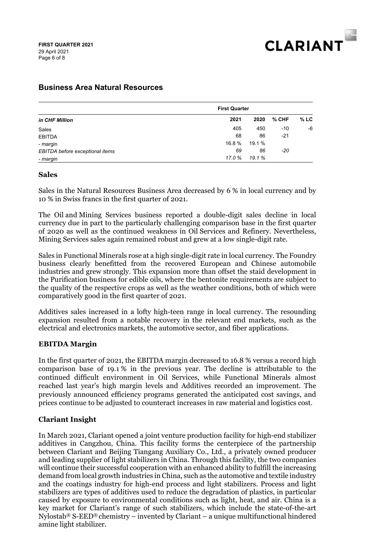

## **Business Area Natural Resources**

| in CHF Million                  |        | <b>First Quarter</b> |       |         |
|---------------------------------|--------|----------------------|-------|---------|
|                                 | 2021   | 2020                 | % CHF | $\%$ LC |
| Sales                           | 405    | 450                  | $-10$ | -6      |
| <b>EBITDA</b>                   | 68     | 86                   | $-21$ |         |
| - margin                        | 16.8 % | 19.1 %               |       |         |
| EBITDA before exceptional items | 69     | 86                   | $-20$ |         |
| - margin                        | 17.0 % | 19.1%                |       |         |

#### **Sales**

Sales in the Natural Resources Business Area decreased by 6 % in local currency and by 10 % in Swiss francs in the first quarter of 2021.

The Oil and Mining Services business reported a double-digit sales decline in local currency due in part to the particularly challenging comparison base in the first quarter of 2020 as well as the continued weakness in Oil Services and Refinery. Nevertheless, Mining Services sales again remained robust and grew at a low single-digit rate.

Sales in Functional Minerals rose at a high single-digit rate in local currency. The Foundry business clearly benefitted from the recovered European and Chinese automobile industries and grew strongly. This expansion more than offset the staid development in the Purification business for edible oils, where the bentonite requirements are subject to the quality of the respective crops as well as the weather conditions, both of which were comparatively good in the first quarter of 2021.

Additives sales increased in a lofty high-teen range in local currency. The resounding expansion resulted from a notable recovery in the relevant end markets, such as the electrical and electronics markets, the automotive sector, and fiber applications.

#### **EBITDA Margin**

In the first quarter of 2021, the EBITDA margin decreased to 16.8 % versus a record high comparison base of 19.1 % in the previous year. The decline is attributable to the continued difficult environment in Oil Services, while Functional Minerals almost reached last year's high margin levels and Additives recorded an improvement. The previously announced efficiency programs generated the anticipated cost savings, and prices continue to be adjusted to counteract increases in raw material and logistics cost.

## **Clariant Insight**

In March 2021, Clariant opened a joint venture production facility for high-end stabilizer additives in Cangzhou, China. This facility forms the centerpiece of the partnership between Clariant and Beijing Tiangang Auxiliary Co., Ltd., a privately owned producer and leading supplier of light stabilizers in China. Through this facility, the two companies will continue their successful cooperation with an enhanced ability to fulfill the increasing demand from local growth industries in China, such as the automotive and textile industry and the coatings industry for high-end process and light stabilizers. Process and light stabilizers are types of additives used to reduce the degradation of plastics, in particular caused by exposure to environmental conditions such as light, heat, and air. China is a key market for Clariant's range of such stabilizers, which include the state-of-the-art Nylostab<sup>®</sup> S-EED<sup>®</sup> chemistry – invented by Clariant – a unique multifunctional hindered amine light stabilizer.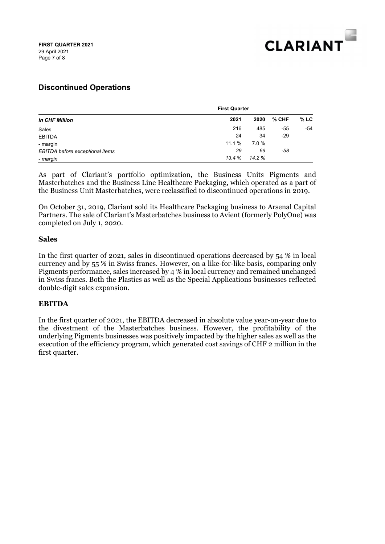

## **Discontinued Operations**

| in CHF Million                  |        | <b>First Quarter</b> |       |         |
|---------------------------------|--------|----------------------|-------|---------|
|                                 | 2021   | 2020                 | % CHF | $\%$ LC |
| Sales                           | 216    | 485                  | -55   | -54     |
| <b>EBITDA</b>                   | 24     | 34                   | $-29$ |         |
| - margin                        | 11.1 % | 7.0%                 |       |         |
| EBITDA before exceptional items | 29     | 69                   | -58   |         |
| - margin                        | 13.4%  | 14.2 %               |       |         |

As part of Clariant's portfolio optimization, the Business Units Pigments and Masterbatches and the Business Line Healthcare Packaging, which operated as a part of the Business Unit Masterbatches, were reclassified to discontinued operations in 2019.

On October 31, 2019, Clariant sold its Healthcare Packaging business to Arsenal Capital Partners. The sale of Clariant's Masterbatches business to Avient (formerly PolyOne) was completed on July 1, 2020.

#### **Sales**

In the first quarter of 2021, sales in discontinued operations decreased by 54 % in local currency and by 55 % in Swiss francs. However, on a like-for-like basis, comparing only Pigments performance, sales increased by 4 % in local currency and remained unchanged in Swiss francs. Both the Plastics as well as the Special Applications businesses reflected double-digit sales expansion.

## **EBITDA**

In the first quarter of 2021, the EBITDA decreased in absolute value year-on-year due to the divestment of the Masterbatches business. However, the profitability of the underlying Pigments businesses was positively impacted by the higher sales as well as the execution of the efficiency program, which generated cost savings of CHF 2 million in the first quarter.